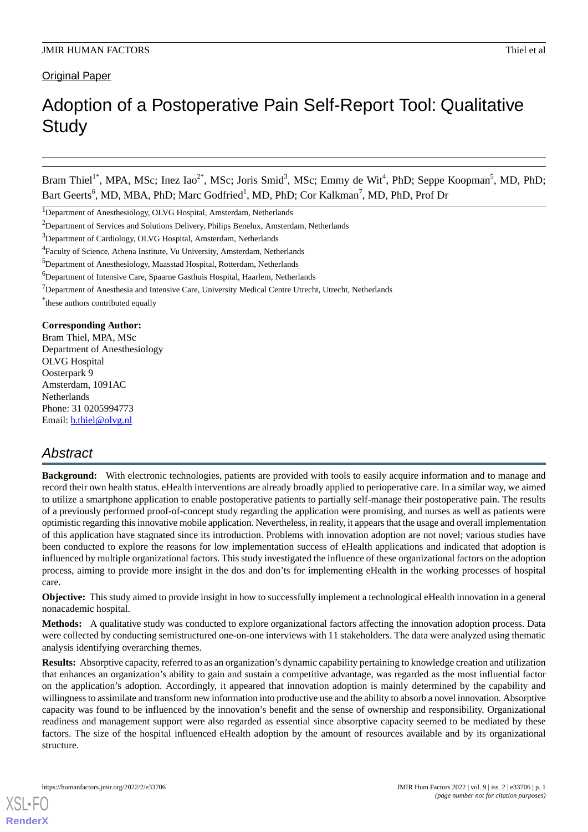# **Original Paper**

# Adoption of a Postoperative Pain Self-Report Tool: Qualitative **Study**

Bram Thiel<sup>1\*</sup>, MPA, MSc; Inez Iao<sup>2\*</sup>, MSc; Joris Smid<sup>3</sup>, MSc; Emmy de Wit<sup>4</sup>, PhD; Seppe Koopman<sup>5</sup>, MD, PhD; Bart Geerts<sup>6</sup>, MD, MBA, PhD; Marc Godfried<sup>1</sup>, MD, PhD; Cor Kalkman<sup>7</sup>, MD, PhD, Prof Dr

#### **Corresponding Author:**

Bram Thiel, MPA, MSc Department of Anesthesiology OLVG Hospital Oosterpark 9 Amsterdam, 1091AC **Netherlands** Phone: 31 0205994773 Email: **[b.thiel@olvg.nl](mailto:b.thiel@olvg.nl)** 

# *Abstract*

**Background:** With electronic technologies, patients are provided with tools to easily acquire information and to manage and record their own health status. eHealth interventions are already broadly applied to perioperative care. In a similar way, we aimed to utilize a smartphone application to enable postoperative patients to partially self-manage their postoperative pain. The results of a previously performed proof-of-concept study regarding the application were promising, and nurses as well as patients were optimistic regarding this innovative mobile application. Nevertheless, in reality, it appears that the usage and overall implementation of this application have stagnated since its introduction. Problems with innovation adoption are not novel; various studies have been conducted to explore the reasons for low implementation success of eHealth applications and indicated that adoption is influenced by multiple organizational factors. This study investigated the influence of these organizational factors on the adoption process, aiming to provide more insight in the dos and don'ts for implementing eHealth in the working processes of hospital care.

**Objective:** This study aimed to provide insight in how to successfully implement a technological eHealth innovation in a general nonacademic hospital.

**Methods:** A qualitative study was conducted to explore organizational factors affecting the innovation adoption process. Data were collected by conducting semistructured one-on-one interviews with 11 stakeholders. The data were analyzed using thematic analysis identifying overarching themes.

**Results:** Absorptive capacity, referred to as an organization's dynamic capability pertaining to knowledge creation and utilization that enhances an organization's ability to gain and sustain a competitive advantage, was regarded as the most influential factor on the application's adoption. Accordingly, it appeared that innovation adoption is mainly determined by the capability and willingness to assimilate and transform new information into productive use and the ability to absorb a novel innovation. Absorptive capacity was found to be influenced by the innovation's benefit and the sense of ownership and responsibility. Organizational readiness and management support were also regarded as essential since absorptive capacity seemed to be mediated by these factors. The size of the hospital influenced eHealth adoption by the amount of resources available and by its organizational structure.

[XSL](http://www.w3.org/Style/XSL)•FO **[RenderX](http://www.renderx.com/)**

<sup>&</sup>lt;sup>1</sup>Department of Anesthesiology, OLVG Hospital, Amsterdam, Netherlands

<sup>&</sup>lt;sup>2</sup>Department of Services and Solutions Delivery, Philips Benelux, Amsterdam, Netherlands

<sup>&</sup>lt;sup>3</sup>Department of Cardiology, OLVG Hospital, Amsterdam, Netherlands

<sup>&</sup>lt;sup>4</sup> Faculty of Science, Athena Institute, Vu University, Amsterdam, Netherlands

<sup>5</sup>Department of Anesthesiology, Maasstad Hospital, Rotterdam, Netherlands

<sup>&</sup>lt;sup>6</sup>Department of Intensive Care, Spaarne Gasthuis Hospital, Haarlem, Netherlands

 $7$ Department of Anesthesia and Intensive Care, University Medical Centre Utrecht, Utrecht, Netherlands

<sup>\*</sup> these authors contributed equally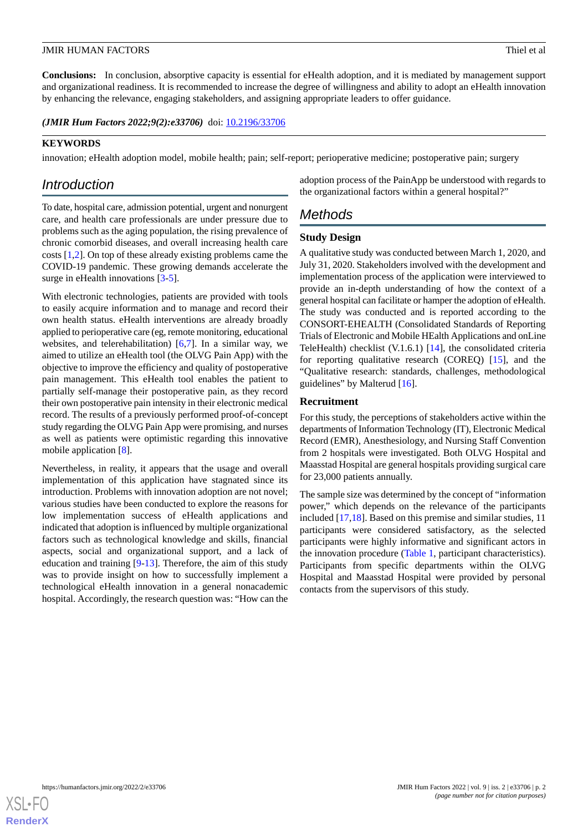**Conclusions:** In conclusion, absorptive capacity is essential for eHealth adoption, and it is mediated by management support and organizational readiness. It is recommended to increase the degree of willingness and ability to adopt an eHealth innovation by enhancing the relevance, engaging stakeholders, and assigning appropriate leaders to offer guidance.

(JMIR Hum Factors 2022;9(2):e33706) doi: [10.2196/33706](http://dx.doi.org/10.2196/33706)

# **KEYWORDS**

innovation; eHealth adoption model, mobile health; pain; self-report; perioperative medicine; postoperative pain; surgery

# *Introduction*

To date, hospital care, admission potential, urgent and nonurgent care, and health care professionals are under pressure due to problems such as the aging population, the rising prevalence of chronic comorbid diseases, and overall increasing health care costs [\[1](#page-6-0),[2\]](#page-6-1). On top of these already existing problems came the COVID-19 pandemic. These growing demands accelerate the surge in eHealth innovations [\[3-](#page-6-2)[5\]](#page-6-3).

With electronic technologies, patients are provided with tools to easily acquire information and to manage and record their own health status. eHealth interventions are already broadly applied to perioperative care (eg, remote monitoring, educational websites, and telerehabilitation) [\[6](#page-6-4),[7\]](#page-6-5). In a similar way, we aimed to utilize an eHealth tool (the OLVG Pain App) with the objective to improve the efficiency and quality of postoperative pain management. This eHealth tool enables the patient to partially self-manage their postoperative pain, as they record their own postoperative pain intensity in their electronic medical record. The results of a previously performed proof-of-concept study regarding the OLVG Pain App were promising, and nurses as well as patients were optimistic regarding this innovative mobile application [\[8](#page-6-6)].

Nevertheless, in reality, it appears that the usage and overall implementation of this application have stagnated since its introduction. Problems with innovation adoption are not novel; various studies have been conducted to explore the reasons for low implementation success of eHealth applications and indicated that adoption is influenced by multiple organizational factors such as technological knowledge and skills, financial aspects, social and organizational support, and a lack of education and training [\[9](#page-6-7)[-13](#page-6-8)]. Therefore, the aim of this study was to provide insight on how to successfully implement a technological eHealth innovation in a general nonacademic hospital. Accordingly, the research question was: "How can the

adoption process of the PainApp be understood with regards to the organizational factors within a general hospital?"

# *Methods*

# **Study Design**

A qualitative study was conducted between March 1, 2020, and July 31, 2020. Stakeholders involved with the development and implementation process of the application were interviewed to provide an in-depth understanding of how the context of a general hospital can facilitate or hamper the adoption of eHealth. The study was conducted and is reported according to the CONSORT-EHEALTH (Consolidated Standards of Reporting Trials of Electronic and Mobile HEalth Applications and onLine TeleHealth) checklist (V.1.6.1) [\[14](#page-6-9)], the consolidated criteria for reporting qualitative research (COREQ) [\[15](#page-6-10)], and the "Qualitative research: standards, challenges, methodological guidelines" by Malterud [[16\]](#page-6-11).

### **Recruitment**

For this study, the perceptions of stakeholders active within the departments of Information Technology (IT), Electronic Medical Record (EMR), Anesthesiology, and Nursing Staff Convention from 2 hospitals were investigated. Both OLVG Hospital and Maasstad Hospital are general hospitals providing surgical care for 23,000 patients annually.

The sample size was determined by the concept of "information power," which depends on the relevance of the participants included [[17,](#page-6-12)[18](#page-7-0)]. Based on this premise and similar studies, 11 participants were considered satisfactory, as the selected participants were highly informative and significant actors in the innovation procedure ([Table 1](#page-2-0), participant characteristics). Participants from specific departments within the OLVG Hospital and Maasstad Hospital were provided by personal contacts from the supervisors of this study.

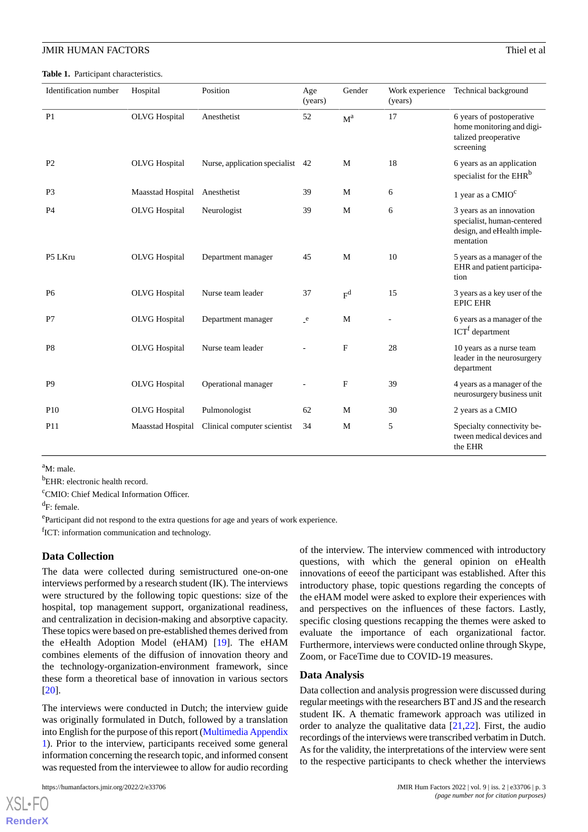<span id="page-2-0"></span>**Table 1.** Participant characteristics.

| Identification number | Hospital                 | Position                      | Age<br>(years)  | Gender         | Work experience<br>(years) | Technical background                                                                              |
|-----------------------|--------------------------|-------------------------------|-----------------|----------------|----------------------------|---------------------------------------------------------------------------------------------------|
| P <sub>1</sub>        | <b>OLVG</b> Hospital     | Anesthetist                   | 52              | $M^a$          | 17                         | 6 years of postoperative<br>home monitoring and digi-<br>talized preoperative<br>screening        |
| P <sub>2</sub>        | <b>OLVG</b> Hospital     | Nurse, application specialist | 42              | M              | 18                         | 6 years as an application<br>specialist for the EHR <sup>b</sup>                                  |
| P <sub>3</sub>        | <b>Maasstad Hospital</b> | Anesthetist                   | 39              | M              | 6                          | 1 year as a CMIO <sup>c</sup>                                                                     |
| P <sub>4</sub>        | <b>OLVG</b> Hospital     | Neurologist                   | 39              | M              | 6                          | 3 years as an innovation<br>specialist, human-centered<br>design, and eHealth imple-<br>mentation |
| P5 LKru               | <b>OLVG</b> Hospital     | Department manager            | 45              | M              | 10                         | 5 years as a manager of the<br>EHR and patient participa-<br>tion                                 |
| P <sub>6</sub>        | <b>OLVG</b> Hospital     | Nurse team leader             | 37              | F <sup>d</sup> | 15                         | 3 years as a key user of the<br><b>EPIC EHR</b>                                                   |
| P7                    | <b>OLVG</b> Hospital     | Department manager            | $_{\text{-}}$ e | M              |                            | 6 years as a manager of the<br>$\text{ICT}^{\text{f}}$ department                                 |
| P <sub>8</sub>        | <b>OLVG</b> Hospital     | Nurse team leader             |                 | $\mathbf{F}$   | 28                         | 10 years as a nurse team<br>leader in the neurosurgery<br>department                              |
| P <sub>9</sub>        | <b>OLVG</b> Hospital     | Operational manager           |                 | F              | 39                         | 4 years as a manager of the<br>neurosurgery business unit                                         |
| P <sub>10</sub>       | <b>OLVG</b> Hospital     | Pulmonologist                 | 62              | M              | 30                         | 2 years as a CMIO                                                                                 |
| P <sub>11</sub>       | Maasstad Hospital        | Clinical computer scientist   | 34              | M              | 5                          | Specialty connectivity be-<br>tween medical devices and<br>the EHR                                |

 $a_{\mathbf{M}}\cdot$  male.

<sup>b</sup>EHR: electronic health record.

<sup>c</sup>CMIO: Chief Medical Information Officer.

<sup>d</sup>F: female.

e<br>Participant did not respond to the extra questions for age and years of work experience.

<sup>f</sup>ICT: information communication and technology.

#### **Data Collection**

The data were collected during semistructured one-on-one interviews performed by a research student (IK). The interviews were structured by the following topic questions: size of the hospital, top management support, organizational readiness, and centralization in decision-making and absorptive capacity. These topics were based on pre-established themes derived from the eHealth Adoption Model (eHAM) [[19\]](#page-7-1). The eHAM combines elements of the diffusion of innovation theory and the technology-organization-environment framework, since these form a theoretical base of innovation in various sectors [[20\]](#page-7-2).

The interviews were conducted in Dutch; the interview guide was originally formulated in Dutch, followed by a translation into English for the purpose of this report ([Multimedia Appendix](#page-6-13) [1\)](#page-6-13). Prior to the interview, participants received some general information concerning the research topic, and informed consent was requested from the interviewee to allow for audio recording

of the interview. The interview commenced with introductory questions, with which the general opinion on eHealth innovations of eeeof the participant was established. After this introductory phase, topic questions regarding the concepts of the eHAM model were asked to explore their experiences with and perspectives on the influences of these factors. Lastly, specific closing questions recapping the themes were asked to evaluate the importance of each organizational factor. Furthermore, interviews were conducted online through Skype, Zoom, or FaceTime due to COVID-19 measures.

#### **Data Analysis**

Data collection and analysis progression were discussed during regular meetings with the researchers BT and JS and the research student IK. A thematic framework approach was utilized in order to analyze the qualitative data [\[21](#page-7-3),[22\]](#page-7-4). First, the audio recordings of the interviews were transcribed verbatim in Dutch. As for the validity, the interpretations of the interview were sent to the respective participants to check whether the interviews

 $X$ SL•F $O$ **[RenderX](http://www.renderx.com/)**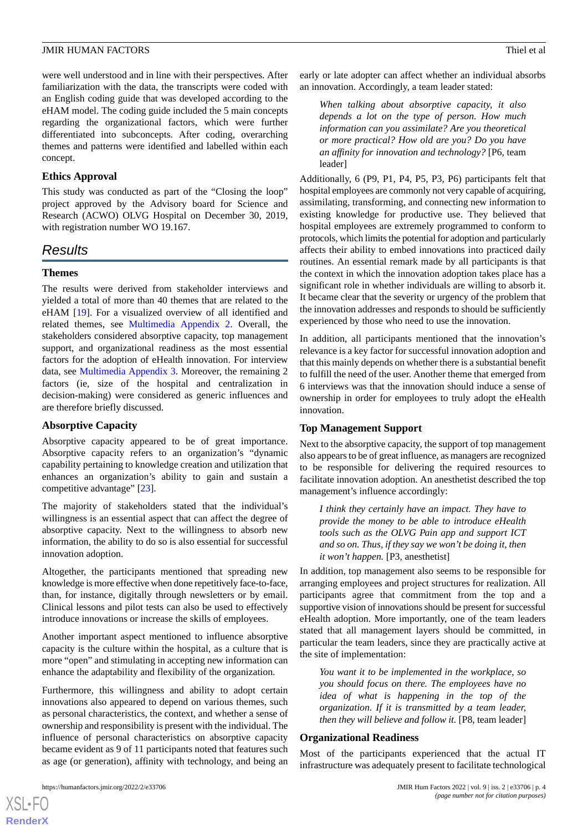were well understood and in line with their perspectives. After familiarization with the data, the transcripts were coded with an English coding guide that was developed according to the eHAM model. The coding guide included the 5 main concepts regarding the organizational factors, which were further differentiated into subconcepts. After coding, overarching themes and patterns were identified and labelled within each concept.

# **Ethics Approval**

This study was conducted as part of the "Closing the loop" project approved by the Advisory board for Science and Research (ACWO) OLVG Hospital on December 30, 2019, with registration number WO 19.167.

# *Results*

# **Themes**

The results were derived from stakeholder interviews and yielded a total of more than 40 themes that are related to the eHAM [[19\]](#page-7-1). For a visualized overview of all identified and related themes, see [Multimedia Appendix 2](#page-6-14). Overall, the stakeholders considered absorptive capacity, top management support, and organizational readiness as the most essential factors for the adoption of eHealth innovation. For interview data, see [Multimedia Appendix 3.](#page-6-15) Moreover, the remaining 2 factors (ie, size of the hospital and centralization in decision-making) were considered as generic influences and are therefore briefly discussed.

# **Absorptive Capacity**

Absorptive capacity appeared to be of great importance. Absorptive capacity refers to an organization's "dynamic capability pertaining to knowledge creation and utilization that enhances an organization's ability to gain and sustain a competitive advantage" [\[23](#page-7-5)].

The majority of stakeholders stated that the individual's willingness is an essential aspect that can affect the degree of absorptive capacity. Next to the willingness to absorb new information, the ability to do so is also essential for successful innovation adoption.

Altogether, the participants mentioned that spreading new knowledge is more effective when done repetitively face-to-face, than, for instance, digitally through newsletters or by email. Clinical lessons and pilot tests can also be used to effectively introduce innovations or increase the skills of employees.

Another important aspect mentioned to influence absorptive capacity is the culture within the hospital, as a culture that is more "open" and stimulating in accepting new information can enhance the adaptability and flexibility of the organization.

Furthermore, this willingness and ability to adopt certain innovations also appeared to depend on various themes, such as personal characteristics, the context, and whether a sense of ownership and responsibility is present with the individual. The influence of personal characteristics on absorptive capacity became evident as 9 of 11 participants noted that features such as age (or generation), affinity with technology, and being an

[XSL](http://www.w3.org/Style/XSL)•FO **[RenderX](http://www.renderx.com/)**

early or late adopter can affect whether an individual absorbs an innovation. Accordingly, a team leader stated:

*When talking about absorptive capacity, it also depends a lot on the type of person. How much information can you assimilate? Are you theoretical or more practical? How old are you? Do you have an affinity for innovation and technology?* [P6, team leader]

Additionally, 6 (P9, P1, P4, P5, P3, P6) participants felt that hospital employees are commonly not very capable of acquiring, assimilating, transforming, and connecting new information to existing knowledge for productive use. They believed that hospital employees are extremely programmed to conform to protocols, which limits the potential for adoption and particularly affects their ability to embed innovations into practiced daily routines. An essential remark made by all participants is that the context in which the innovation adoption takes place has a significant role in whether individuals are willing to absorb it. It became clear that the severity or urgency of the problem that the innovation addresses and responds to should be sufficiently experienced by those who need to use the innovation.

In addition, all participants mentioned that the innovation's relevance is a key factor for successful innovation adoption and that this mainly depends on whether there is a substantial benefit to fulfill the need of the user. Another theme that emerged from 6 interviews was that the innovation should induce a sense of ownership in order for employees to truly adopt the eHealth innovation.

# **Top Management Support**

Next to the absorptive capacity, the support of top management also appears to be of great influence, as managers are recognized to be responsible for delivering the required resources to facilitate innovation adoption. An anesthetist described the top management's influence accordingly:

*I think they certainly have an impact. They have to provide the money to be able to introduce eHealth tools such as the OLVG Pain app and support ICT and so on. Thus, if they say we won't be doing it, then it won't happen.* [P3, anesthetist]

In addition, top management also seems to be responsible for arranging employees and project structures for realization. All participants agree that commitment from the top and a supportive vision of innovations should be present for successful eHealth adoption. More importantly, one of the team leaders stated that all management layers should be committed, in particular the team leaders, since they are practically active at the site of implementation:

*You want it to be implemented in the workplace, so you should focus on there. The employees have no idea of what is happening in the top of the organization. If it is transmitted by a team leader, then they will believe and follow it.* [P8, team leader]

# **Organizational Readiness**

Most of the participants experienced that the actual IT infrastructure was adequately present to facilitate technological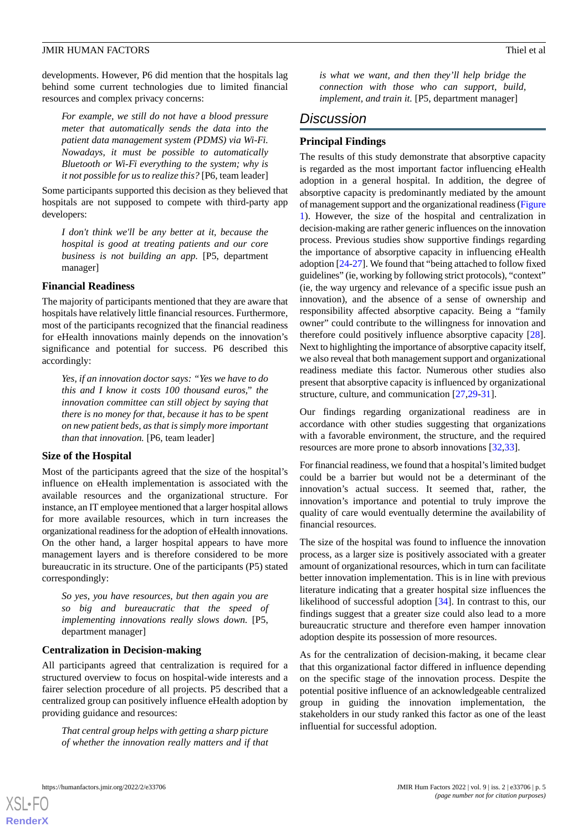developments. However, P6 did mention that the hospitals lag behind some current technologies due to limited financial resources and complex privacy concerns:

*For example, we still do not have a blood pressure meter that automatically sends the data into the patient data management system (PDMS) via Wi-Fi. Nowadays, it must be possible to automatically Bluetooth or Wi-Fi everything to the system; why is it not possible for us to realize this?* [P6, team leader]

Some participants supported this decision as they believed that hospitals are not supposed to compete with third-party app developers:

*I don't think we'll be any better at it, because the hospital is good at treating patients and our core business is not building an app.* [P5, department manager]

#### **Financial Readiness**

The majority of participants mentioned that they are aware that hospitals have relatively little financial resources. Furthermore, most of the participants recognized that the financial readiness for eHealth innovations mainly depends on the innovation's significance and potential for success. P6 described this accordingly:

*Yes, if an innovation doctor says: "Yes we have to do this and I know it costs 100 thousand euros," the innovation committee can still object by saying that there is no money for that, because it has to be spent on new patient beds, as that is simply more important than that innovation.* [P6, team leader]

#### **Size of the Hospital**

Most of the participants agreed that the size of the hospital's influence on eHealth implementation is associated with the available resources and the organizational structure. For instance, an IT employee mentioned that a larger hospital allows for more available resources, which in turn increases the organizational readiness for the adoption of eHealth innovations. On the other hand, a larger hospital appears to have more management layers and is therefore considered to be more bureaucratic in its structure. One of the participants (P5) stated correspondingly:

*So yes, you have resources, but then again you are so big and bureaucratic that the speed of implementing innovations really slows down.* [P5, department manager]

# **Centralization in Decision-making**

All participants agreed that centralization is required for a structured overview to focus on hospital-wide interests and a fairer selection procedure of all projects. P5 described that a centralized group can positively influence eHealth adoption by providing guidance and resources:

*That central group helps with getting a sharp picture of whether the innovation really matters and if that* *is what we want, and then they'll help bridge the connection with those who can support, build, implement, and train it.* [P5, department manager]

# *Discussion*

#### **Principal Findings**

The results of this study demonstrate that absorptive capacity is regarded as the most important factor influencing eHealth adoption in a general hospital. In addition, the degree of absorptive capacity is predominantly mediated by the amount of management support and the organizational readiness [\(Figure](#page-5-0) [1\)](#page-5-0). However, the size of the hospital and centralization in decision-making are rather generic influences on the innovation process. Previous studies show supportive findings regarding the importance of absorptive capacity in influencing eHealth adoption [[24-](#page-7-6)[27\]](#page-7-7). We found that "being attached to follow fixed guidelines" (ie, working by following strict protocols), "context" (ie, the way urgency and relevance of a specific issue push an innovation), and the absence of a sense of ownership and responsibility affected absorptive capacity. Being a "family owner" could contribute to the willingness for innovation and therefore could positively influence absorptive capacity [[28\]](#page-7-8). Next to highlighting the importance of absorptive capacity itself, we also reveal that both management support and organizational readiness mediate this factor. Numerous other studies also present that absorptive capacity is influenced by organizational structure, culture, and communication [\[27](#page-7-7),[29](#page-7-9)[-31](#page-7-10)].

Our findings regarding organizational readiness are in accordance with other studies suggesting that organizations with a favorable environment, the structure, and the required resources are more prone to absorb innovations [\[32](#page-7-11),[33\]](#page-7-12).

For financial readiness, we found that a hospital's limited budget could be a barrier but would not be a determinant of the innovation's actual success. It seemed that, rather, the innovation's importance and potential to truly improve the quality of care would eventually determine the availability of financial resources.

The size of the hospital was found to influence the innovation process, as a larger size is positively associated with a greater amount of organizational resources, which in turn can facilitate better innovation implementation. This is in line with previous literature indicating that a greater hospital size influences the likelihood of successful adoption [[34\]](#page-7-13). In contrast to this, our findings suggest that a greater size could also lead to a more bureaucratic structure and therefore even hamper innovation adoption despite its possession of more resources.

As for the centralization of decision-making, it became clear that this organizational factor differed in influence depending on the specific stage of the innovation process. Despite the potential positive influence of an acknowledgeable centralized group in guiding the innovation implementation, the stakeholders in our study ranked this factor as one of the least influential for successful adoption.



[XSL](http://www.w3.org/Style/XSL)•FO **[RenderX](http://www.renderx.com/)**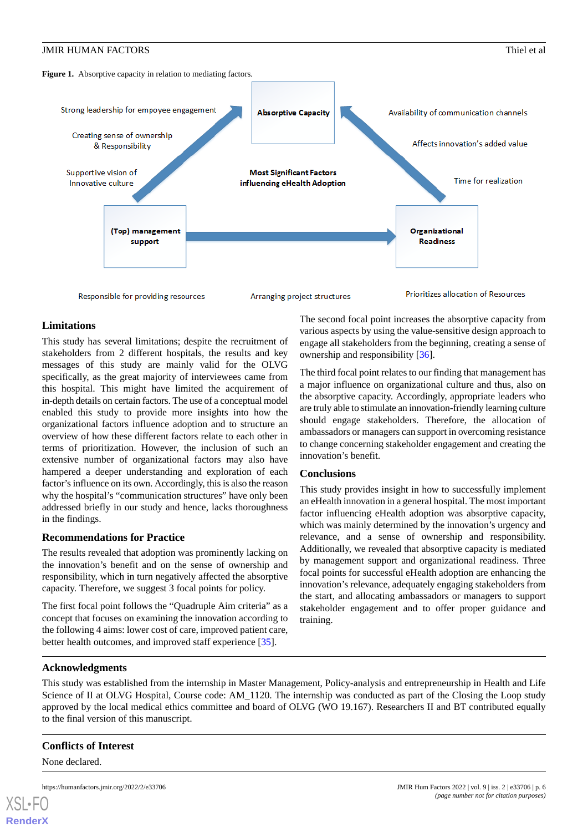<span id="page-5-0"></span>



Responsible for providing resources

Arranging project structures



### **Limitations**

This study has several limitations; despite the recruitment of stakeholders from 2 different hospitals, the results and key messages of this study are mainly valid for the OLVG specifically, as the great majority of interviewees came from this hospital. This might have limited the acquirement of in-depth details on certain factors. The use of a conceptual model enabled this study to provide more insights into how the organizational factors influence adoption and to structure an overview of how these different factors relate to each other in terms of prioritization. However, the inclusion of such an extensive number of organizational factors may also have hampered a deeper understanding and exploration of each factor's influence on its own. Accordingly, this is also the reason why the hospital's "communication structures" have only been addressed briefly in our study and hence, lacks thoroughness in the findings.

#### **Recommendations for Practice**

The results revealed that adoption was prominently lacking on the innovation's benefit and on the sense of ownership and responsibility, which in turn negatively affected the absorptive capacity. Therefore, we suggest 3 focal points for policy.

The first focal point follows the "Quadruple Aim criteria" as a concept that focuses on examining the innovation according to the following 4 aims: lower cost of care, improved patient care, better health outcomes, and improved staff experience [\[35](#page-7-14)].

The second focal point increases the absorptive capacity from various aspects by using the value-sensitive design approach to engage all stakeholders from the beginning, creating a sense of ownership and responsibility [[36\]](#page-7-15).

The third focal point relates to our finding that management has a major influence on organizational culture and thus, also on the absorptive capacity. Accordingly, appropriate leaders who are truly able to stimulate an innovation-friendly learning culture should engage stakeholders. Therefore, the allocation of ambassadors or managers can support in overcoming resistance to change concerning stakeholder engagement and creating the innovation's benefit.

#### **Conclusions**

This study provides insight in how to successfully implement an eHealth innovation in a general hospital. The most important factor influencing eHealth adoption was absorptive capacity, which was mainly determined by the innovation's urgency and relevance, and a sense of ownership and responsibility. Additionally, we revealed that absorptive capacity is mediated by management support and organizational readiness. Three focal points for successful eHealth adoption are enhancing the innovation's relevance, adequately engaging stakeholders from the start, and allocating ambassadors or managers to support stakeholder engagement and to offer proper guidance and training.

#### **Acknowledgments**

This study was established from the internship in Master Management, Policy-analysis and entrepreneurship in Health and Life Science of II at OLVG Hospital, Course code: AM\_1120. The internship was conducted as part of the Closing the Loop study approved by the local medical ethics committee and board of OLVG (WO 19.167). Researchers II and BT contributed equally to the final version of this manuscript.

#### **Conflicts of Interest**

None declared.

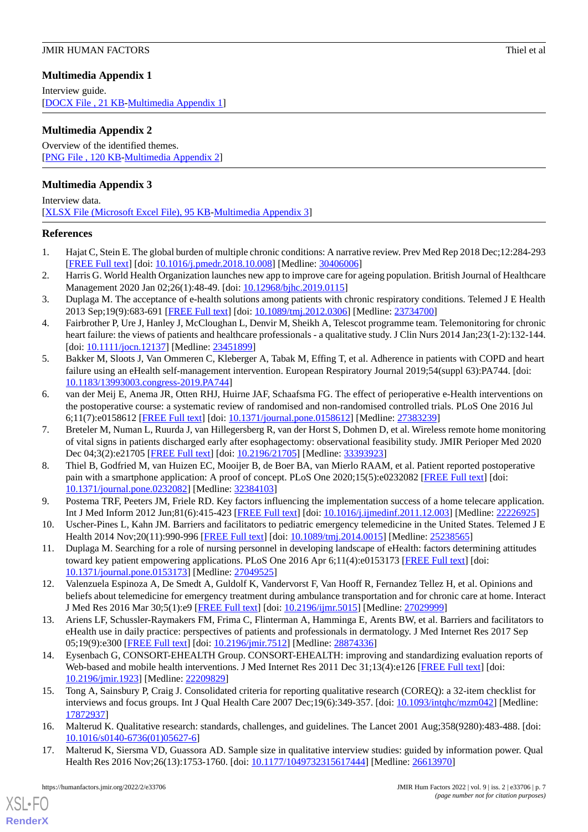# <span id="page-6-13"></span>**Multimedia Appendix 1**

Interview guide. [[DOCX File , 21 KB](https://jmir.org/api/download?alt_name=humanfactors_v9i2e33706_app1.docx&filename=a74ed1cb7d073d806930e66c4c819f88.docx)-[Multimedia Appendix 1\]](https://jmir.org/api/download?alt_name=humanfactors_v9i2e33706_app1.docx&filename=a74ed1cb7d073d806930e66c4c819f88.docx)

# <span id="page-6-14"></span>**Multimedia Appendix 2**

Overview of the identified themes. [[PNG File , 120 KB-Multimedia Appendix 2](https://jmir.org/api/download?alt_name=humanfactors_v9i2e33706_app2.png&filename=a2a8ee1b44f962aa62116ae17614a51a.png)]

# <span id="page-6-15"></span>**Multimedia Appendix 3**

Interview data. [[XLSX File \(Microsoft Excel File\), 95 KB](https://jmir.org/api/download?alt_name=humanfactors_v9i2e33706_app3.xlsx&filename=d61607773ac1c3d798cd3d1eefe7706a.xlsx)-[Multimedia Appendix 3\]](https://jmir.org/api/download?alt_name=humanfactors_v9i2e33706_app3.xlsx&filename=d61607773ac1c3d798cd3d1eefe7706a.xlsx)

# <span id="page-6-0"></span>**References**

- <span id="page-6-1"></span>1. Hajat C, Stein E. The global burden of multiple chronic conditions: A narrative review. Prev Med Rep 2018 Dec;12:284-293 [[FREE Full text](https://linkinghub.elsevier.com/retrieve/pii/S2211-3355(18)30246-8)] [doi: [10.1016/j.pmedr.2018.10.008\]](http://dx.doi.org/10.1016/j.pmedr.2018.10.008) [Medline: [30406006](http://www.ncbi.nlm.nih.gov/entrez/query.fcgi?cmd=Retrieve&db=PubMed&list_uids=30406006&dopt=Abstract)]
- <span id="page-6-2"></span>2. Harris G. World Health Organization launches new app to improve care for ageing population. British Journal of Healthcare Management 2020 Jan 02;26(1):48-49. [doi: [10.12968/bjhc.2019.0115](http://dx.doi.org/10.12968/bjhc.2019.0115)]
- 3. Duplaga M. The acceptance of e-health solutions among patients with chronic respiratory conditions. Telemed J E Health 2013 Sep;19(9):683-691 [\[FREE Full text\]](http://europepmc.org/abstract/MED/23734700) [doi: [10.1089/tmj.2012.0306\]](http://dx.doi.org/10.1089/tmj.2012.0306) [Medline: [23734700](http://www.ncbi.nlm.nih.gov/entrez/query.fcgi?cmd=Retrieve&db=PubMed&list_uids=23734700&dopt=Abstract)]
- <span id="page-6-3"></span>4. Fairbrother P, Ure J, Hanley J, McCloughan L, Denvir M, Sheikh A, Telescot programme team. Telemonitoring for chronic heart failure: the views of patients and healthcare professionals - a qualitative study. J Clin Nurs 2014 Jan;23(1-2):132-144. [doi: [10.1111/jocn.12137\]](http://dx.doi.org/10.1111/jocn.12137) [Medline: [23451899\]](http://www.ncbi.nlm.nih.gov/entrez/query.fcgi?cmd=Retrieve&db=PubMed&list_uids=23451899&dopt=Abstract)
- <span id="page-6-4"></span>5. Bakker M, Sloots J, Van Ommeren C, Kleberger A, Tabak M, Effing T, et al. Adherence in patients with COPD and heart failure using an eHealth self-management intervention. European Respiratory Journal 2019;54(suppl 63):PA744. [doi: [10.1183/13993003.congress-2019.PA744\]](http://dx.doi.org/10.1183/13993003.congress-2019.PA744)
- <span id="page-6-5"></span>6. van der Meij E, Anema JR, Otten RHJ, Huirne JAF, Schaafsma FG. The effect of perioperative e-Health interventions on the postoperative course: a systematic review of randomised and non-randomised controlled trials. PLoS One 2016 Jul 6;11(7):e0158612 [\[FREE Full text](https://dx.plos.org/10.1371/journal.pone.0158612)] [doi: [10.1371/journal.pone.0158612\]](http://dx.doi.org/10.1371/journal.pone.0158612) [Medline: [27383239](http://www.ncbi.nlm.nih.gov/entrez/query.fcgi?cmd=Retrieve&db=PubMed&list_uids=27383239&dopt=Abstract)]
- <span id="page-6-6"></span>7. Breteler M, Numan L, Ruurda J, van Hillegersberg R, van der Horst S, Dohmen D, et al. Wireless remote home monitoring of vital signs in patients discharged early after esophagectomy: observational feasibility study. JMIR Perioper Med 2020 Dec 04;3(2):e21705 [[FREE Full text](http://europepmc.org/abstract/MED/33393923)] [doi: [10.2196/21705](http://dx.doi.org/10.2196/21705)] [Medline: [33393923](http://www.ncbi.nlm.nih.gov/entrez/query.fcgi?cmd=Retrieve&db=PubMed&list_uids=33393923&dopt=Abstract)]
- <span id="page-6-7"></span>8. Thiel B, Godfried M, van Huizen EC, Mooijer B, de Boer BA, van Mierlo RAAM, et al. Patient reported postoperative pain with a smartphone application: A proof of concept. PLoS One 2020;15(5):e0232082 [[FREE Full text\]](https://dx.plos.org/10.1371/journal.pone.0232082) [doi: [10.1371/journal.pone.0232082\]](http://dx.doi.org/10.1371/journal.pone.0232082) [Medline: [32384103](http://www.ncbi.nlm.nih.gov/entrez/query.fcgi?cmd=Retrieve&db=PubMed&list_uids=32384103&dopt=Abstract)]
- 9. Postema TRF, Peeters JM, Friele RD. Key factors influencing the implementation success of a home telecare application. Int J Med Inform 2012 Jun;81(6):415-423 [\[FREE Full text\]](https://linkinghub.elsevier.com/retrieve/pii/S1386-5056(11)00244-9) [doi: [10.1016/j.ijmedinf.2011.12.003\]](http://dx.doi.org/10.1016/j.ijmedinf.2011.12.003) [Medline: [22226925\]](http://www.ncbi.nlm.nih.gov/entrez/query.fcgi?cmd=Retrieve&db=PubMed&list_uids=22226925&dopt=Abstract)
- 10. Uscher-Pines L, Kahn JM. Barriers and facilitators to pediatric emergency telemedicine in the United States. Telemed J E Health 2014 Nov;20(11):990-996 [[FREE Full text](http://europepmc.org/abstract/MED/25238565)] [doi: [10.1089/tmj.2014.0015\]](http://dx.doi.org/10.1089/tmj.2014.0015) [Medline: [25238565\]](http://www.ncbi.nlm.nih.gov/entrez/query.fcgi?cmd=Retrieve&db=PubMed&list_uids=25238565&dopt=Abstract)
- <span id="page-6-8"></span>11. Duplaga M. Searching for a role of nursing personnel in developing landscape of eHealth: factors determining attitudes toward key patient empowering applications. PLoS One 2016 Apr 6;11(4):e0153173 [\[FREE Full text\]](https://dx.plos.org/10.1371/journal.pone.0153173) [doi: [10.1371/journal.pone.0153173\]](http://dx.doi.org/10.1371/journal.pone.0153173) [Medline: [27049525](http://www.ncbi.nlm.nih.gov/entrez/query.fcgi?cmd=Retrieve&db=PubMed&list_uids=27049525&dopt=Abstract)]
- <span id="page-6-9"></span>12. Valenzuela Espinoza A, De Smedt A, Guldolf K, Vandervorst F, Van Hooff R, Fernandez Tellez H, et al. Opinions and beliefs about telemedicine for emergency treatment during ambulance transportation and for chronic care at home. Interact J Med Res 2016 Mar 30;5(1):e9 [\[FREE Full text\]](https://www.i-jmr.org/2016/1/e9/) [doi: [10.2196/ijmr.5015\]](http://dx.doi.org/10.2196/ijmr.5015) [Medline: [27029999\]](http://www.ncbi.nlm.nih.gov/entrez/query.fcgi?cmd=Retrieve&db=PubMed&list_uids=27029999&dopt=Abstract)
- <span id="page-6-10"></span>13. Ariens LF, Schussler-Raymakers FM, Frima C, Flinterman A, Hamminga E, Arents BW, et al. Barriers and facilitators to eHealth use in daily practice: perspectives of patients and professionals in dermatology. J Med Internet Res 2017 Sep 05;19(9):e300 [\[FREE Full text](https://www.jmir.org/2017/9/e300/)] [doi: [10.2196/jmir.7512](http://dx.doi.org/10.2196/jmir.7512)] [Medline: [28874336](http://www.ncbi.nlm.nih.gov/entrez/query.fcgi?cmd=Retrieve&db=PubMed&list_uids=28874336&dopt=Abstract)]
- <span id="page-6-11"></span>14. Eysenbach G, CONSORT-EHEALTH Group. CONSORT-EHEALTH: improving and standardizing evaluation reports of Web-based and mobile health interventions. J Med Internet Res 2011 Dec 31;13(4):e126 [\[FREE Full text\]](https://www.jmir.org/2011/4/e126/) [doi: [10.2196/jmir.1923](http://dx.doi.org/10.2196/jmir.1923)] [Medline: [22209829](http://www.ncbi.nlm.nih.gov/entrez/query.fcgi?cmd=Retrieve&db=PubMed&list_uids=22209829&dopt=Abstract)]
- <span id="page-6-12"></span>15. Tong A, Sainsbury P, Craig J. Consolidated criteria for reporting qualitative research (COREQ): a 32-item checklist for interviews and focus groups. Int J Qual Health Care 2007 Dec;19(6):349-357. [doi: [10.1093/intqhc/mzm042\]](http://dx.doi.org/10.1093/intqhc/mzm042) [Medline: [17872937](http://www.ncbi.nlm.nih.gov/entrez/query.fcgi?cmd=Retrieve&db=PubMed&list_uids=17872937&dopt=Abstract)]
- 16. Malterud K. Qualitative research: standards, challenges, and guidelines. The Lancet 2001 Aug;358(9280):483-488. [doi: [10.1016/s0140-6736\(01\)05627-6](http://dx.doi.org/10.1016/s0140-6736(01)05627-6)]
- 17. Malterud K, Siersma VD, Guassora AD. Sample size in qualitative interview studies: guided by information power. Qual Health Res 2016 Nov;26(13):1753-1760. [doi: [10.1177/1049732315617444\]](http://dx.doi.org/10.1177/1049732315617444) [Medline: [26613970\]](http://www.ncbi.nlm.nih.gov/entrez/query.fcgi?cmd=Retrieve&db=PubMed&list_uids=26613970&dopt=Abstract)

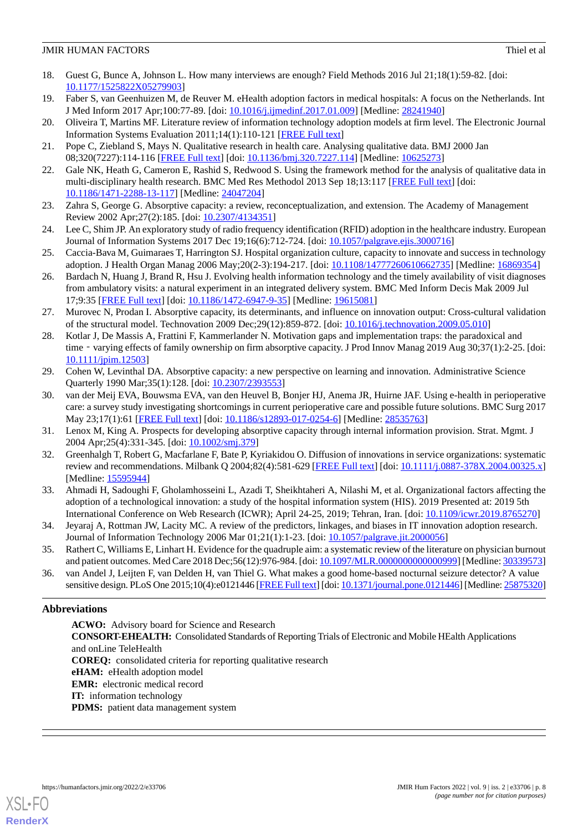- <span id="page-7-0"></span>18. Guest G, Bunce A, Johnson L. How many interviews are enough? Field Methods 2016 Jul 21;18(1):59-82. [doi: [10.1177/1525822X05279903](http://dx.doi.org/10.1177/1525822X05279903)]
- <span id="page-7-2"></span><span id="page-7-1"></span>19. Faber S, van Geenhuizen M, de Reuver M. eHealth adoption factors in medical hospitals: A focus on the Netherlands. Int J Med Inform 2017 Apr;100:77-89. [doi: [10.1016/j.ijmedinf.2017.01.009](http://dx.doi.org/10.1016/j.ijmedinf.2017.01.009)] [Medline: [28241940](http://www.ncbi.nlm.nih.gov/entrez/query.fcgi?cmd=Retrieve&db=PubMed&list_uids=28241940&dopt=Abstract)]
- <span id="page-7-3"></span>20. Oliveira T, Martins MF. Literature review of information technology adoption models at firm level. The Electronic Journal Information Systems Evaluation 2011;14(1):110-121 [[FREE Full text](https://academic-publishing.org/index.php/ejise/article/view/389/352)]
- <span id="page-7-4"></span>21. Pope C, Ziebland S, Mays N. Qualitative research in health care. Analysing qualitative data. BMJ 2000 Jan 08;320(7227):114-116 [[FREE Full text](http://europepmc.org/abstract/MED/10625273)] [doi: [10.1136/bmj.320.7227.114\]](http://dx.doi.org/10.1136/bmj.320.7227.114) [Medline: [10625273\]](http://www.ncbi.nlm.nih.gov/entrez/query.fcgi?cmd=Retrieve&db=PubMed&list_uids=10625273&dopt=Abstract)
- <span id="page-7-5"></span>22. Gale NK, Heath G, Cameron E, Rashid S, Redwood S. Using the framework method for the analysis of qualitative data in multi-disciplinary health research. BMC Med Res Methodol 2013 Sep 18;13:117 [[FREE Full text](https://bmcmedresmethodol.biomedcentral.com/articles/10.1186/1471-2288-13-117)] [doi: [10.1186/1471-2288-13-117\]](http://dx.doi.org/10.1186/1471-2288-13-117) [Medline: [24047204\]](http://www.ncbi.nlm.nih.gov/entrez/query.fcgi?cmd=Retrieve&db=PubMed&list_uids=24047204&dopt=Abstract)
- <span id="page-7-6"></span>23. Zahra S, George G. Absorptive capacity: a review, reconceptualization, and extension. The Academy of Management Review 2002 Apr;27(2):185. [doi: [10.2307/4134351](http://dx.doi.org/10.2307/4134351)]
- 24. Lee C, Shim JP. An exploratory study of radio frequency identification (RFID) adoption in the healthcare industry. European Journal of Information Systems 2017 Dec 19;16(6):712-724. [doi: [10.1057/palgrave.ejis.3000716\]](http://dx.doi.org/10.1057/palgrave.ejis.3000716)
- 25. Caccia-Bava M, Guimaraes T, Harrington SJ. Hospital organization culture, capacity to innovate and success in technology adoption. J Health Organ Manag 2006 May;20(2-3):194-217. [doi: [10.1108/14777260610662735\]](http://dx.doi.org/10.1108/14777260610662735) [Medline: [16869354\]](http://www.ncbi.nlm.nih.gov/entrez/query.fcgi?cmd=Retrieve&db=PubMed&list_uids=16869354&dopt=Abstract)
- <span id="page-7-7"></span>26. Bardach N, Huang J, Brand R, Hsu J. Evolving health information technology and the timely availability of visit diagnoses from ambulatory visits: a natural experiment in an integrated delivery system. BMC Med Inform Decis Mak 2009 Jul 17;9:35 [[FREE Full text](https://bmcmedinformdecismak.biomedcentral.com/articles/10.1186/1472-6947-9-35)] [doi: [10.1186/1472-6947-9-35\]](http://dx.doi.org/10.1186/1472-6947-9-35) [Medline: [19615081\]](http://www.ncbi.nlm.nih.gov/entrez/query.fcgi?cmd=Retrieve&db=PubMed&list_uids=19615081&dopt=Abstract)
- <span id="page-7-8"></span>27. Murovec N, Prodan I. Absorptive capacity, its determinants, and influence on innovation output: Cross-cultural validation of the structural model. Technovation 2009 Dec;29(12):859-872. [doi: [10.1016/j.technovation.2009.05.010\]](http://dx.doi.org/10.1016/j.technovation.2009.05.010)
- <span id="page-7-9"></span>28. Kotlar J, De Massis A, Frattini F, Kammerlander N. Motivation gaps and implementation traps: the paradoxical and time - varying effects of family ownership on firm absorptive capacity. J Prod Innov Manag 2019 Aug 30;37(1):2-25. [doi: [10.1111/jpim.12503\]](http://dx.doi.org/10.1111/jpim.12503)
- 29. Cohen W, Levinthal DA. Absorptive capacity: a new perspective on learning and innovation. Administrative Science Quarterly 1990 Mar;35(1):128. [doi: [10.2307/2393553](http://dx.doi.org/10.2307/2393553)]
- <span id="page-7-11"></span><span id="page-7-10"></span>30. van der Meij EVA, Bouwsma EVA, van den Heuvel B, Bonjer HJ, Anema JR, Huirne JAF. Using e-health in perioperative care: a survey study investigating shortcomings in current perioperative care and possible future solutions. BMC Surg 2017 May 23;17(1):61 [\[FREE Full text\]](https://bmcsurg.biomedcentral.com/articles/10.1186/s12893-017-0254-6) [doi: [10.1186/s12893-017-0254-6](http://dx.doi.org/10.1186/s12893-017-0254-6)] [Medline: [28535763\]](http://www.ncbi.nlm.nih.gov/entrez/query.fcgi?cmd=Retrieve&db=PubMed&list_uids=28535763&dopt=Abstract)
- <span id="page-7-12"></span>31. Lenox M, King A. Prospects for developing absorptive capacity through internal information provision. Strat. Mgmt. J 2004 Apr;25(4):331-345. [doi: [10.1002/smj.379\]](http://dx.doi.org/10.1002/smj.379)
- 32. Greenhalgh T, Robert G, Macfarlane F, Bate P, Kyriakidou O. Diffusion of innovations in service organizations: systematic review and recommendations. Milbank Q 2004;82(4):581-629 [\[FREE Full text](http://europepmc.org/abstract/MED/15595944)] [doi: [10.1111/j.0887-378X.2004.00325.x](http://dx.doi.org/10.1111/j.0887-378X.2004.00325.x)] [Medline: [15595944](http://www.ncbi.nlm.nih.gov/entrez/query.fcgi?cmd=Retrieve&db=PubMed&list_uids=15595944&dopt=Abstract)]
- <span id="page-7-14"></span><span id="page-7-13"></span>33. Ahmadi H, Sadoughi F, Gholamhosseini L, Azadi T, Sheikhtaheri A, Nilashi M, et al. Organizational factors affecting the adoption of a technological innovation: a study of the hospital information system (HIS). 2019 Presented at: 2019 5th International Conference on Web Research (ICWR); April 24-25, 2019; Tehran, Iran. [doi: [10.1109/icwr.2019.8765270\]](http://dx.doi.org/10.1109/icwr.2019.8765270)
- <span id="page-7-15"></span>34. Jeyaraj A, Rottman JW, Lacity MC. A review of the predictors, linkages, and biases in IT innovation adoption research. Journal of Information Technology 2006 Mar 01;21(1):1-23. [doi: [10.1057/palgrave.jit.2000056](http://dx.doi.org/10.1057/palgrave.jit.2000056)]
- 35. Rathert C, Williams E, Linhart H. Evidence for the quadruple aim: a systematic review of the literature on physician burnout and patient outcomes. Med Care 2018 Dec;56(12):976-984. [doi: [10.1097/MLR.0000000000000999](http://dx.doi.org/10.1097/MLR.0000000000000999)] [Medline: [30339573](http://www.ncbi.nlm.nih.gov/entrez/query.fcgi?cmd=Retrieve&db=PubMed&list_uids=30339573&dopt=Abstract)]
- 36. van Andel J, Leijten F, van Delden H, van Thiel G. What makes a good home-based nocturnal seizure detector? A value sensitive design. PLoS One 2015;10(4):e0121446 [[FREE Full text](https://dx.plos.org/10.1371/journal.pone.0121446)] [doi: [10.1371/journal.pone.0121446](http://dx.doi.org/10.1371/journal.pone.0121446)] [Medline: [25875320\]](http://www.ncbi.nlm.nih.gov/entrez/query.fcgi?cmd=Retrieve&db=PubMed&list_uids=25875320&dopt=Abstract)

# **Abbreviations**

**ACWO:** Advisory board for Science and Research **CONSORT-EHEALTH:** Consolidated Standards of Reporting Trials of Electronic and Mobile HEalth Applications and onLine TeleHealth **COREQ:** consolidated criteria for reporting qualitative research **eHAM:** eHealth adoption model **EMR:** electronic medical record **IT:** information technology **PDMS:** patient data management system